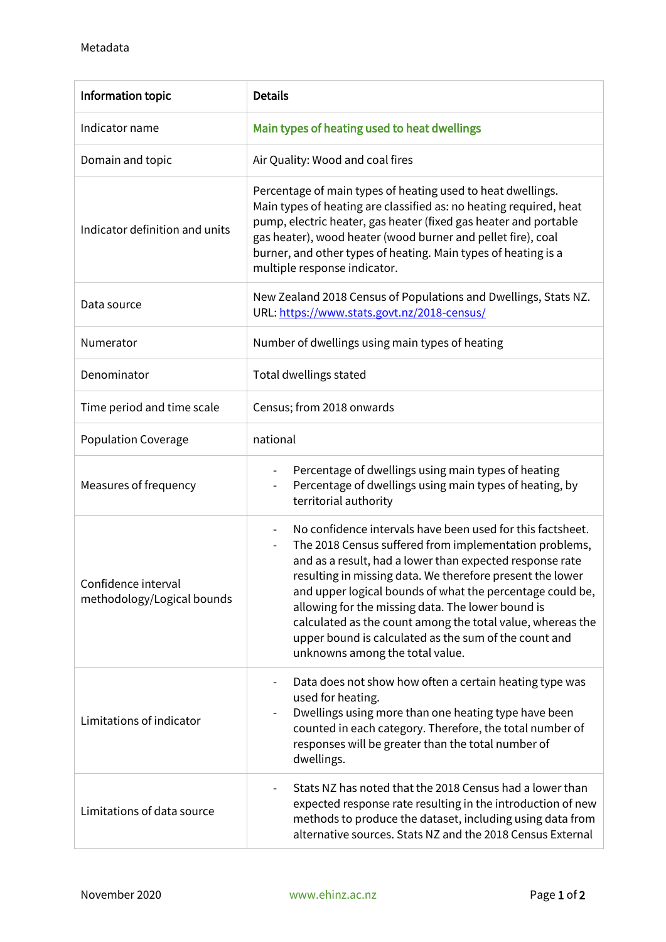| Information topic                                 | <b>Details</b>                                                                                                                                                                                                                                                                                                                                                                                                                                                                                                            |
|---------------------------------------------------|---------------------------------------------------------------------------------------------------------------------------------------------------------------------------------------------------------------------------------------------------------------------------------------------------------------------------------------------------------------------------------------------------------------------------------------------------------------------------------------------------------------------------|
| Indicator name                                    | Main types of heating used to heat dwellings                                                                                                                                                                                                                                                                                                                                                                                                                                                                              |
| Domain and topic                                  | Air Quality: Wood and coal fires                                                                                                                                                                                                                                                                                                                                                                                                                                                                                          |
| Indicator definition and units                    | Percentage of main types of heating used to heat dwellings.<br>Main types of heating are classified as: no heating required, heat<br>pump, electric heater, gas heater (fixed gas heater and portable<br>gas heater), wood heater (wood burner and pellet fire), coal<br>burner, and other types of heating. Main types of heating is a<br>multiple response indicator.                                                                                                                                                   |
| Data source                                       | New Zealand 2018 Census of Populations and Dwellings, Stats NZ.<br>URL: https://www.stats.govt.nz/2018-census/                                                                                                                                                                                                                                                                                                                                                                                                            |
| Numerator                                         | Number of dwellings using main types of heating                                                                                                                                                                                                                                                                                                                                                                                                                                                                           |
| Denominator                                       | Total dwellings stated                                                                                                                                                                                                                                                                                                                                                                                                                                                                                                    |
| Time period and time scale                        | Census; from 2018 onwards                                                                                                                                                                                                                                                                                                                                                                                                                                                                                                 |
| <b>Population Coverage</b>                        | national                                                                                                                                                                                                                                                                                                                                                                                                                                                                                                                  |
| Measures of frequency                             | Percentage of dwellings using main types of heating<br>$\overline{\phantom{0}}$<br>Percentage of dwellings using main types of heating, by<br>territorial authority                                                                                                                                                                                                                                                                                                                                                       |
| Confidence interval<br>methodology/Logical bounds | No confidence intervals have been used for this factsheet.<br>The 2018 Census suffered from implementation problems,<br>and as a result, had a lower than expected response rate<br>resulting in missing data. We therefore present the lower<br>and upper logical bounds of what the percentage could be,<br>allowing for the missing data. The lower bound is<br>calculated as the count among the total value, whereas the<br>upper bound is calculated as the sum of the count and<br>unknowns among the total value. |
| Limitations of indicator                          | Data does not show how often a certain heating type was<br>used for heating.<br>Dwellings using more than one heating type have been<br>counted in each category. Therefore, the total number of<br>responses will be greater than the total number of<br>dwellings.                                                                                                                                                                                                                                                      |
| Limitations of data source                        | Stats NZ has noted that the 2018 Census had a lower than<br>expected response rate resulting in the introduction of new<br>methods to produce the dataset, including using data from<br>alternative sources. Stats NZ and the 2018 Census External                                                                                                                                                                                                                                                                        |